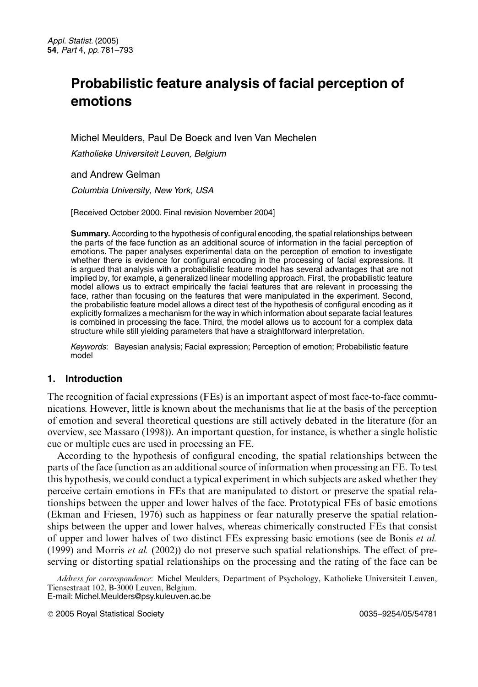# **Probabilistic feature analysis of facial perception of emotions**

Michel Meulders, Paul De Boeck and Iven Van Mechelen

*Katholieke Universiteit Leuven, Belgium*

and Andrew Gelman

*Columbia University, New York, USA*

[Received October 2000. Final revision November 2004]

**Summary.** According to the hypothesis of configural encoding, the spatial relationships between the parts of the face function as an additional source of information in the facial perception of emotions. The paper analyses experimental data on the perception of emotion to investigate whether there is evidence for configural encoding in the processing of facial expressions. It is argued that analysis with a probabilistic feature model has several advantages that are not implied by, for example, a generalized linear modelling approach. First, the probabilistic feature model allows us to extract empirically the facial features that are relevant in processing the face, rather than focusing on the features that were manipulated in the experiment. Second, the probabilistic feature model allows a direct test of the hypothesis of configural encoding as it explicitly formalizes a mechanism for the way in which information about separate facial features is combined in processing the face. Third, the model allows us to account for a complex data structure while still yielding parameters that have a straightforward interpretation.

*Keywords*: Bayesian analysis; Facial expression; Perception of emotion; Probabilistic feature model

# **1. Introduction**

The recognition of facial expressions (FEs) is an important aspect of most face-to-face communications. However, little is known about the mechanisms that lie at the basis of the perception of emotion and several theoretical questions are still actively debated in the literature (for an overview, see Massaro (1998)). An important question, for instance, is whether a single holistic cue or multiple cues are used in processing an FE.

According to the hypothesis of configural encoding, the spatial relationships between the parts of the face function as an additional source of information when processing an FE. To test this hypothesis, we could conduct a typical experiment in which subjects are asked whether they perceive certain emotions in FEs that are manipulated to distort or preserve the spatial relationships between the upper and lower halves of the face. Prototypical FEs of basic emotions (Ekman and Friesen, 1976) such as happiness or fear naturally preserve the spatial relationships between the upper and lower halves, whereas chimerically constructed FEs that consist of upper and lower halves of two distinct FEs expressing basic emotions (see de Bonis *et al.* (1999) and Morris *et al.* (2002)) do not preserve such spatial relationships. The effect of preserving or distorting spatial relationships on the processing and the rating of the face can be

*Address for correspondence*: Michel Meulders, Department of Psychology, Katholieke Universiteit Leuven, Tiensestraat 102, B-3000 Leuven, Belgium.

E-mail: Michel.Meulders@psy.kuleuven.ac.be

2005 Royal Statistical Society 0035–9254/05/54781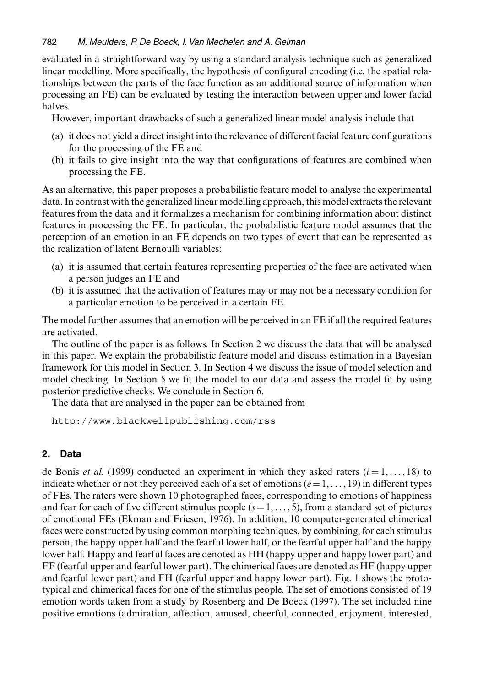evaluated in a straightforward way by using a standard analysis technique such as generalized linear modelling. More specifically, the hypothesis of configural encoding (i.e. the spatial relationships between the parts of the face function as an additional source of information when processing an FE) can be evaluated by testing the interaction between upper and lower facial halves.

However, important drawbacks of such a generalized linear model analysis include that

- (a) it does not yield a direct insight into the relevance of different facial feature configurations for the processing of the FE and
- (b) it fails to give insight into the way that configurations of features are combined when processing the FE.

As an alternative, this paper proposes a probabilistic feature model to analyse the experimental data. In contrast with the generalized linear modelling approach, this model extracts the relevant features from the data and it formalizes a mechanism for combining information about distinct features in processing the FE. In particular, the probabilistic feature model assumes that the perception of an emotion in an FE depends on two types of event that can be represented as the realization of latent Bernoulli variables:

- (a) it is assumed that certain features representing properties of the face are activated when a person judges an FE and
- (b) it is assumed that the activation of features may or may not be a necessary condition for a particular emotion to be perceived in a certain FE.

The model further assumes that an emotion will be perceived in an FE if all the required features are activated.

The outline of the paper is as follows. In Section 2 we discuss the data that will be analysed in this paper. We explain the probabilistic feature model and discuss estimation in a Bayesian framework for this model in Section 3. In Section 4 we discuss the issue of model selection and model checking. In Section 5 we fit the model to our data and assess the model fit by using posterior predictive checks. We conclude in Section 6.

The data that are analysed in the paper can be obtained from

http://www.blackwellpublishing.com/rss

# **2. Data**

de Bonis *et al.* (1999) conducted an experiment in which they asked raters  $(i = 1, \ldots, 18)$  to indicate whether or not they perceived each of a set of emotions ( $e=1, \ldots, 19$ ) in different types of FEs. The raters were shown 10 photographed faces, corresponding to emotions of happiness and fear for each of five different stimulus people  $(s=1,\ldots, 5)$ , from a standard set of pictures of emotional FEs (Ekman and Friesen, 1976). In addition, 10 computer-generated chimerical faces were constructed by using common morphing techniques, by combining, for each stimulus person, the happy upper half and the fearful lower half, or the fearful upper half and the happy lower half. Happy and fearful faces are denoted as HH (happy upper and happy lower part) and FF (fearful upper and fearful lower part). The chimerical faces are denoted as HF (happy upper and fearful lower part) and FH (fearful upper and happy lower part). Fig. 1 shows the prototypical and chimerical faces for one of the stimulus people. The set of emotions consisted of 19 emotion words taken from a study by Rosenberg and De Boeck (1997). The set included nine positive emotions (admiration, affection, amused, cheerful, connected, enjoyment, interested,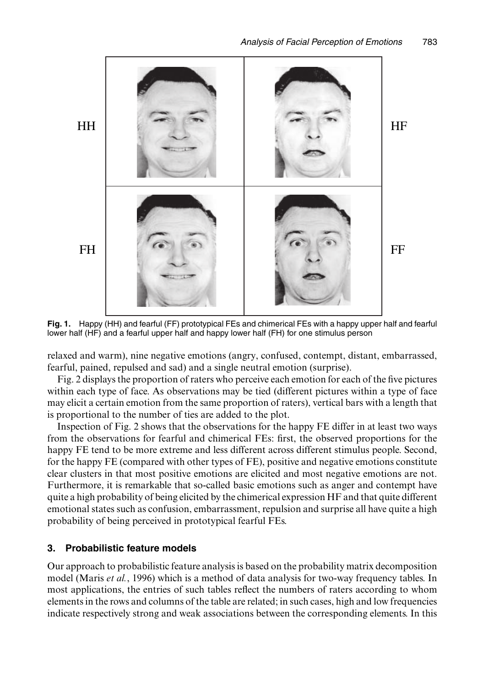

**Fig. 1.** Happy (HH) and fearful (FF) prototypical FEs and chimerical FEs with a happy upper half and fearful lower half (HF) and a fearful upper half and happy lower half (FH) for one stimulus person

relaxed and warm), nine negative emotions (angry, confused, contempt, distant, embarrassed, fearful, pained, repulsed and sad) and a single neutral emotion (surprise).

Fig. 2 displays the proportion of raters who perceive each emotion for each of the five pictures within each type of face. As observations may be tied (different pictures within a type of face may elicit a certain emotion from the same proportion of raters), vertical bars with a length that is proportional to the number of ties are added to the plot.

Inspection of Fig. 2 shows that the observations for the happy FE differ in at least two ways from the observations for fearful and chimerical FEs: first, the observed proportions for the happy FE tend to be more extreme and less different across different stimulus people. Second, for the happy FE (compared with other types of FE), positive and negative emotions constitute clear clusters in that most positive emotions are elicited and most negative emotions are not. Furthermore, it is remarkable that so-called basic emotions such as anger and contempt have quite a high probability of being elicited by the chimerical expression HF and that quite different emotional states such as confusion, embarrassment, repulsion and surprise all have quite a high probability of being perceived in prototypical fearful FEs.

# **3. Probabilistic feature models**

Our approach to probabilistic feature analysis is based on the probability matrix decomposition model (Maris *et al.*, 1996) which is a method of data analysis for two-way frequency tables. In most applications, the entries of such tables reflect the numbers of raters according to whom elements in the rows and columns of the table are related; in such cases, high and low frequencies indicate respectively strong and weak associations between the corresponding elements. In this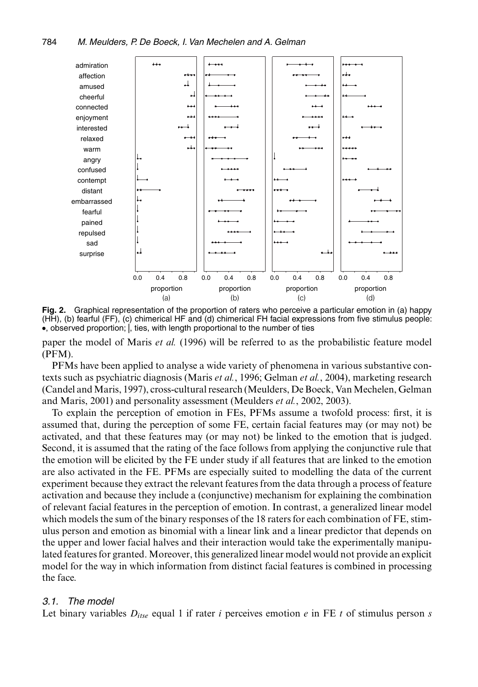

**Fig. 2.** Graphical representation of the proportion of raters who perceive a particular emotion in (a) happy (HH), (b) fearful (FF), (c) chimerical HF and (d) chimerical FH facial expressions from five stimulus people: , observed proportion; j, ties, with length proportional to the number of ties

paper the model of Maris *et al.* (1996) will be referred to as the probabilistic feature model (PFM).

PFMs have been applied to analyse a wide variety of phenomena in various substantive contexts such as psychiatric diagnosis (Maris *et al.*, 1996; Gelman *et al.*, 2004), marketing research (Candel andMaris, 1997), cross-cultural research (Meulders, De Boeck, VanMechelen, Gelman and Maris, 2001) and personality assessment (Meulders *et al.*, 2002, 2003).

To explain the perception of emotion in FEs, PFMs assume a twofold process: first, it is assumed that, during the perception of some FE, certain facial features may (or may not) be activated, and that these features may (or may not) be linked to the emotion that is judged. Second, it is assumed that the rating of the face follows from applying the conjunctive rule that the emotion will be elicited by the FE under study if all features that are linked to the emotion are also activated in the FE. PFMs are especially suited to modelling the data of the current experiment because they extract the relevant features from the data through a process of feature activation and because they include a (conjunctive) mechanism for explaining the combination of relevant facial features in the perception of emotion. In contrast, a generalized linear model which models the sum of the binary responses of the 18 raters for each combination of FE, stimulus person and emotion as binomial with a linear link and a linear predictor that depends on the upper and lower facial halves and their interaction would take the experimentally manipulated features for granted. Moreover, this generalized linear model would not provide an explicit model for the way in which information from distinct facial features is combined in processing the face.

## *3.1. The model*

Let binary variables  $D_{itse}$  equal 1 if rater *i* perceives emotion *e* in FE *t* of stimulus person *s*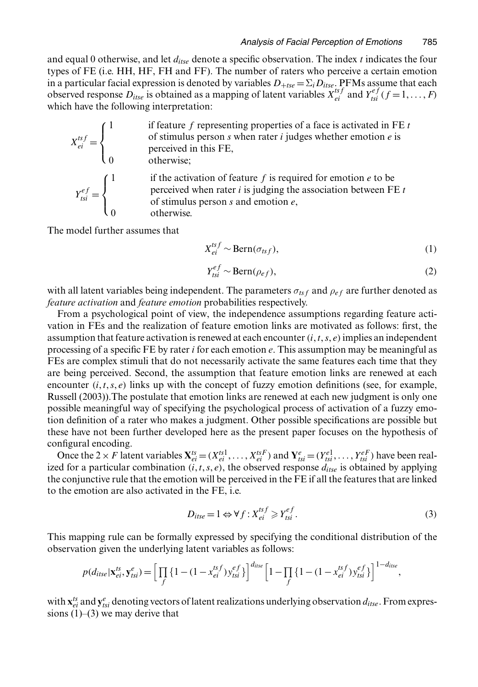and equal 0 otherwise, and let  $d_{itse}$  denote a specific observation. The index  $t$  indicates the four types of FE (i.e. HH, HF, FH and FF). The number of raters who perceive a certain emotion in a particular facial expression is denoted by variables  $D_{+tse} = \sum_i D_{itse}$ . PFMs assume that each observed response  $D_{itse}$  is obtained as a mapping of latent variables  $X_{ei}^{tsf}$  and  $Y_{tsi}^{tsf}$   $(f = 1, ..., F)$ which have the following interpretation:

| $X_{ei}^{tsf} = \begin{cases} 1 \ 0 \end{cases}$  | if feature f representing properties of a face is activated in FE $t$<br>of stimulus person s when rater $i$ judges whether emotion $e$ is<br>perceived in this FE,<br>otherwise;                  |  |
|---------------------------------------------------|----------------------------------------------------------------------------------------------------------------------------------------------------------------------------------------------------|--|
| $Y_{tsi}^{ef} = \begin{cases} 1 \\ 0 \end{cases}$ | if the activation of feature $f$ is required for emotion $e$ to be<br>perceived when rater $i$ is judging the association between FE $t$<br>of stimulus person $s$ and emotion $e$ ,<br>otherwise. |  |
|                                                   |                                                                                                                                                                                                    |  |

The model further assumes that

$$
X_{ei}^{tsf} \sim \text{Bern}(\sigma_{tsf}),\tag{1}
$$

$$
Y_{tsi}^{ef} \sim \text{Bern}(\rho_{ef}),\tag{2}
$$

with all latent variables being independent. The parameters  $\sigma_{tsf}$  and  $\rho_{ef}$  are further denoted as *feature activation* and *feature emotion* probabilities respectively.

From a psychological point of view, the independence assumptions regarding feature activation in FEs and the realization of feature emotion links are motivated as follows: first, the assumption that feature activation is renewed at each encounter  $(i, t, s, e)$  implies an independent processing of a specific FE by rater *i* for each emotion *e*. This assumption may be meaningful as FEs are complex stimuli that do not necessarily activate the same features each time that they are being perceived. Second, the assumption that feature emotion links are renewed at each encounter  $(i, t, s, e)$  links up with the concept of fuzzy emotion definitions (see, for example, Russell (2003)).The postulate that emotion links are renewed at each new judgment is only one possible meaningful way of specifying the psychological process of activation of a fuzzy emotion definition of a rater who makes a judgment. Other possible specifications are possible but these have not been further developed here as the present paper focuses on the hypothesis of configural encoding.

Once the  $2 \times F$  latent variables  $\mathbf{X}_{ei}^{ts} = (X_{ei}^{ts1}, \dots, X_{ei}^{tsF})$  and  $\mathbf{Y}_{tsi}^{e} = (Y_{tsi}^{e1}, \dots, Y_{tsi}^{eF})$  have been realized for a particular combination  $(i, t, s, e)$ , the observed response  $d_{itse}$  is obtained by applying the conjunctive rule that the emotion will be perceived in the FE if all the features that are linked to the emotion are also activated in the FE, i.e.

$$
D_{itse} = 1 \Leftrightarrow \forall f : X_{ei}^{tsf} \geq Y_{tsi}^{ef}.
$$
\n(3)

This mapping rule can be formally expressed by specifying the conditional distribution of the observation given the underlying latent variables as follows:

$$
p(d_{itse}|\mathbf{x}_{ei}^{ts}, \mathbf{y}_{tsi}^{e}) = \Big[\prod_{f} \{1 - (1 - x_{ei}^{tsf})y_{tsi}^{ef}\}\Big]^{d_{itse}} \Big[1 - \prod_{f} \{1 - (1 - x_{ei}^{tsf})y_{tsi}^{ef}\}\Big]^{1 - d_{itse}},
$$

with  $\mathbf{x}_{ei}^{ts}$  and  $\mathbf{y}_{tsi}^{e}$  denoting vectors of latent realizations underlying observation  $d_{itse}$ . From expressions  $(1)$ – $(3)$  we may derive that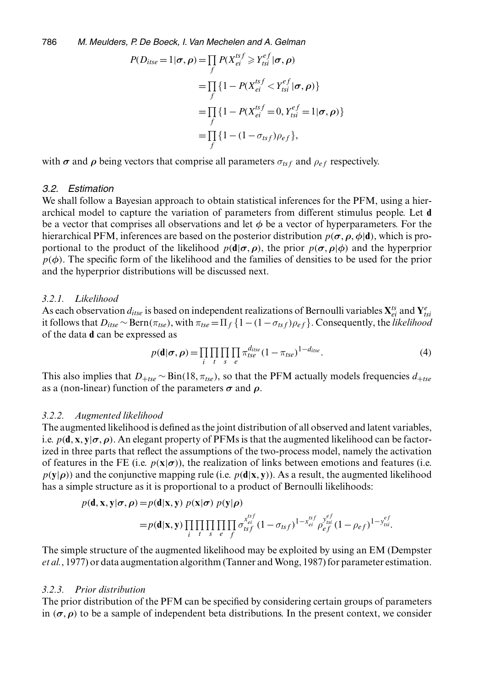786 *M. Meulders, P. De Boeck, I. Van Mechelen and A. Gelman*

$$
P(D_{itse} = 1 | \sigma, \rho) = \prod_{f} P(X_{ei}^{tsf} \ge Y_{tsi}^{ef} | \sigma, \rho)
$$
  
= 
$$
\prod_{f} \{1 - P(X_{ei}^{tsf} < Y_{tsi}^{ef} | \sigma, \rho)\}
$$
  
= 
$$
\prod_{f} \{1 - P(X_{ei}^{tsf} = 0, Y_{tsi}^{ef} = 1 | \sigma, \rho)\}
$$
  
= 
$$
\prod_{f} \{1 - (1 - \sigma_{tsf})\rho_{ef}\},
$$

with  $\sigma$  and  $\rho$  being vectors that comprise all parameters  $\sigma_{tsf}$  and  $\rho_{ef}$  respectively.

## *3.2. Estimation*

We shall follow a Bayesian approach to obtain statistical inferences for the PFM, using a hierarchical model to capture the variation of parameters from different stimulus people. Let **d** be a vector that comprises all observations and let *φ* be a vector of hyperparameters. For the hierarchical PFM, inferences are based on the posterior distribution  $p(\sigma, \rho, \phi | \mathbf{d})$ , which is proportional to the product of the likelihood  $p(\mathbf{d}|\sigma, \rho)$ , the prior  $p(\sigma, \rho|\phi)$  and the hyperprior  $p(\phi)$ . The specific form of the likelihood and the families of densities to be used for the prior and the hyperprior distributions will be discussed next.

## *3.2.1. Likelihood*

As each observation  $d_{itse}$  is based on independent realizations of Bernoulli variables  $X_{ei}^{ts}$  and  $Y_{tsi}^{e}$ it follows that  $D_{itse} \sim \text{Bern}(\pi_{tse})$ , with  $\pi_{tse} = \prod_f \{1 - (1 - \sigma_{tsf}) \rho_{ef}\}\)$ . Consequently, the *likelihood* of the data **d** can be expressed as

$$
p(\mathbf{d}|\boldsymbol{\sigma}, \boldsymbol{\rho}) = \prod_{i} \prod_{t} \prod_{s} \prod_{e} \pi_{tse}^{d_{itse}} (1 - \pi_{tse})^{1 - d_{itse}}.
$$
\n(4)

This also implies that  $D_{+tse} \sim Bin(18, \pi_{tse})$ , so that the PFM actually models frequencies  $d_{+tse}$ as a (non-linear) function of the parameters  $\sigma$  and  $\rho$ .

#### *3.2.2. Augmented likelihood*

The augmented likelihood is defined as the joint distribution of all observed and latent variables, i.e.  $p(\mathbf{d}, \mathbf{x}, \mathbf{y} | \sigma, \rho)$ . An elegant property of PFMs is that the augmented likelihood can be factorized in three parts that reflect the assumptions of the two-process model, namely the activation of features in the FE (i.e.  $p(\mathbf{x}|\sigma)$ ), the realization of links between emotions and features (i.e.  $p(\mathbf{y}|\boldsymbol{\rho})$  and the conjunctive mapping rule (i.e.  $p(\mathbf{d}|\mathbf{x}, \mathbf{y})$ ). As a result, the augmented likelihood has a simple structure as it is proportional to a product of Bernoulli likelihoods:

$$
p(\mathbf{d}, \mathbf{x}, \mathbf{y} | \boldsymbol{\sigma}, \boldsymbol{\rho}) = p(\mathbf{d} | \mathbf{x}, \mathbf{y}) \ p(\mathbf{x} | \boldsymbol{\sigma}) \ p(\mathbf{y} | \boldsymbol{\rho})
$$
  
=  $p(\mathbf{d} | \mathbf{x}, \mathbf{y}) \prod_i \prod_i \prod_i \prod_{\sigma_{t}} \sigma_{tsf}^{x^{tsf}_{\sigma i}} (1 - \sigma_{tsf})^{1 - x^{tsf}_{\sigma i}} \rho_{eft}^{y^{ef}_{\sigma i}} (1 - \rho_{eft})^{1 - y^{ef}_{tsi}}.$ 

The simple structure of the augmented likelihood may be exploited by using an EM (Dempster *et al.*, 1977) or data augmentation algorithm (Tanner andWong, 1987) for parameter estimation.

### *3.2.3. Prior distribution*

The prior distribution of the PFM can be specified by considering certain groups of parameters in  $(\sigma, \rho)$  to be a sample of independent beta distributions. In the present context, we consider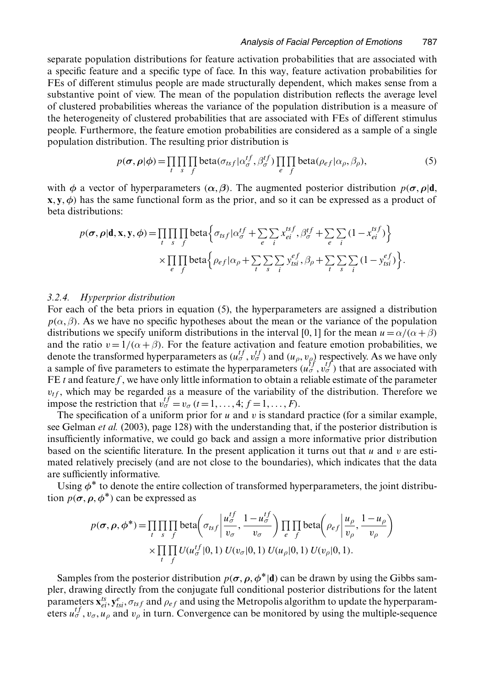separate population distributions for feature activation probabilities that are associated with a specific feature and a specific type of face. In this way, feature activation probabilities for FEs of different stimulus people are made structurally dependent, which makes sense from a substantive point of view. The mean of the population distribution reflects the average level of clustered probabilities whereas the variance of the population distribution is a measure of the heterogeneity of clustered probabilities that are associated with FEs of different stimulus people. Furthermore, the feature emotion probabilities are considered as a sample of a single population distribution. The resulting prior distribution is

$$
p(\sigma, \rho | \phi) = \prod_{t} \prod_{s} \prod_{f} \text{beta}(\sigma_{tsf} | \alpha_{\sigma}^{tf}, \beta_{\sigma}^{tf}) \prod_{e} \prod_{f} \text{beta}(\rho_{ef} | \alpha_{\rho}, \beta_{\rho}),
$$
(5)

with  $\phi$  a vector of hyperparameters  $(\alpha, \beta)$ . The augmented posterior distribution  $p(\sigma, \rho | \mathbf{d})$ ,  $\mathbf{x}, \mathbf{y}, \phi$  has the same functional form as the prior, and so it can be expressed as a product of beta distributions:

$$
p(\sigma, \rho | \mathbf{d}, \mathbf{x}, \mathbf{y}, \phi) = \prod_{t} \prod_{s} \prod_{f} \text{beta} \left\{ \sigma_{tsf} | \alpha_{\sigma}^{tf} + \sum_{e} \sum_{i} x_{ei}^{tsf}, \beta_{\sigma}^{tf} + \sum_{e} \sum_{i} (1 - x_{ei}^{tsf}) \right\}
$$

$$
\times \prod_{e} \prod_{f} \text{beta} \left\{ \rho_{ef} | \alpha_{\rho} + \sum_{t} \sum_{s} \sum_{i} y_{tsi}^{ef}, \beta_{\rho} + \sum_{t} \sum_{s} \sum_{i} (1 - y_{tsi}^{ef}) \right\}.
$$

#### *3.2.4. Hyperprior distribution*

For each of the beta priors in equation (5), the hyperparameters are assigned a distribution  $p(\alpha, \beta)$ . As we have no specific hypotheses about the mean or the variance of the population distributions we specify uniform distributions in the interval [0, 1] for the mean  $u = \alpha/(\alpha + \beta)$ and the ratio  $v = 1/(\alpha + \beta)$ . For the feature activation and feature emotion probabilities, we denote the transformed hyperparameters as  $(u_{\sigma}^{t}$ ,  $v_{\sigma}^{t}$ ) and  $(u_{\rho}, v_{\rho})$  respectively. As we have only a sample of five parameters to estimate the hyperparameters  $(u_0^f, v_0^f)$  that are associated with a sample of five parameters to estimate the hyperparameters  $(u_0^f, v_0^f)$  that are associated with FE *t* and feature *f* , we have only little information to obtain a reliable estimate of the parameter  $v_{tf}$ , which may be regarded as a measure of the variability of the distribution. Therefore we impose the restriction that  $v_{\sigma}^{tf} = v_{\sigma}$   $(t = 1, ..., 4; f = 1, ..., F)$ .

The specification of a uniform prior for  $u$  and  $v$  is standard practice (for a similar example, see Gelman *et al.* (2003), page 128) with the understanding that, if the posterior distribution is insufficiently informative, we could go back and assign a more informative prior distribution based on the scientific literature. In the present application it turns out that  $u$  and  $v$  are estimated relatively precisely (and are not close to the boundaries), which indicates that the data are sufficiently informative.

Using  $\phi^*$  to denote the entire collection of transformed hyperparameters, the joint distribution  $p(\sigma, \rho, \phi^*)$  can be expressed as

$$
p(\sigma, \rho, \phi^*) = \prod_{t} \prod_{s} \prod_{f} \text{beta}(\sigma_{tsf} \left| \frac{u_{\sigma}^{tf}}{v_{\sigma}}, \frac{1 - u_{\sigma}^{tf}}{v_{\sigma}} \right) \prod_{e} \prod_{f} \text{beta}(\rho_{ef} \left| \frac{u_{\rho}}{v_{\rho}}, \frac{1 - u_{\rho}}{v_{\rho}} \right) \times \prod_{t} \prod_{f} U(u_{\sigma}^{tf} | 0, 1) U(v_{\sigma} | 0, 1) U(u_{\rho} | 0, 1) U(v_{\rho} | 0, 1).
$$

Samples from the posterior distribution  $p(\sigma, \rho, \phi^* | \mathbf{d})$  can be drawn by using the Gibbs sampler, drawing directly from the conjugate full conditional posterior distributions for the latent parameters  $\mathbf{x}_{ei}^{ts}, \mathbf{y}_{tsi}^{e}, \sigma_{tsf}$  and  $\rho_{ef}$  and using the Metropolis algorithm to update the hyperparameters  $u_{\sigma}^{(f)}$ ,  $v_{\sigma}$ ,  $u_{\rho}$  and  $v_{\rho}$  in turn. Convergence can be monitored by using the multiple-sequence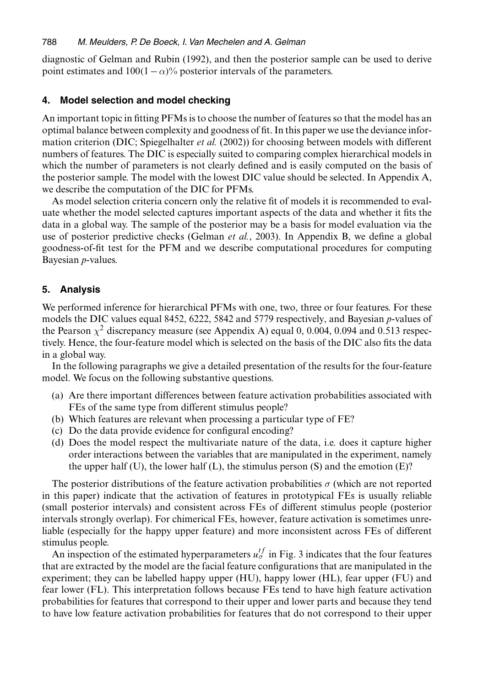diagnostic of Gelman and Rubin (1992), and then the posterior sample can be used to derive point estimates and  $100(1-\alpha)$ % posterior intervals of the parameters.

# **4. Model selection and model checking**

An important topic in fitting PFMs is to choose the number of features so that the model has an optimal balance between complexity and goodness of fit. In this paper we use the deviance information criterion (DIC; Spiegelhalter *et al.* (2002)) for choosing between models with different numbers of features. The DIC is especially suited to comparing complex hierarchical models in which the number of parameters is not clearly defined and is easily computed on the basis of the posterior sample. The model with the lowest DIC value should be selected. In Appendix A, we describe the computation of the DIC for PFMs.

As model selection criteria concern only the relative fit of models it is recommended to evaluate whether the model selected captures important aspects of the data and whether it fits the data in a global way. The sample of the posterior may be a basis for model evaluation via the use of posterior predictive checks (Gelman *et al.*, 2003). In Appendix B, we define a global goodness-of-fit test for the PFM and we describe computational procedures for computing Bayesian *p*-values.

# **5. Analysis**

We performed inference for hierarchical PFMs with one, two, three or four features. For these models the DIC values equal 8452, 6222, 5842 and 5779 respectively, and Bayesian *p*-values of the Pearson  $\chi^2$  discrepancy measure (see Appendix A) equal 0, 0.004, 0.094 and 0.513 respectively. Hence, the four-feature model which is selected on the basis of the DIC also fits the data in a global way.

In the following paragraphs we give a detailed presentation of the results for the four-feature model. We focus on the following substantive questions.

- (a) Are there important differences between feature activation probabilities associated with FEs of the same type from different stimulus people?
- (b) Which features are relevant when processing a particular type of FE?
- (c) Do the data provide evidence for configural encoding?
- (d) Does the model respect the multivariate nature of the data, i.e. does it capture higher order interactions between the variables that are manipulated in the experiment, namely the upper half (U), the lower half (L), the stimulus person (S) and the emotion (E)?

The posterior distributions of the feature activation probabilities  $\sigma$  (which are not reported in this paper) indicate that the activation of features in prototypical FEs is usually reliable (small posterior intervals) and consistent across FEs of different stimulus people (posterior intervals strongly overlap). For chimerical FEs, however, feature activation is sometimes unreliable (especially for the happy upper feature) and more inconsistent across FEs of different stimulus people.

An inspection of the estimated hyperparameters  $u_{\sigma}^{tf}$  in Fig. 3 indicates that the four features that are extracted by the model are the facial feature configurations that are manipulated in the experiment; they can be labelled happy upper (HU), happy lower (HL), fear upper (FU) and fear lower (FL). This interpretation follows because FEs tend to have high feature activation probabilities for features that correspond to their upper and lower parts and because they tend to have low feature activation probabilities for features that do not correspond to their upper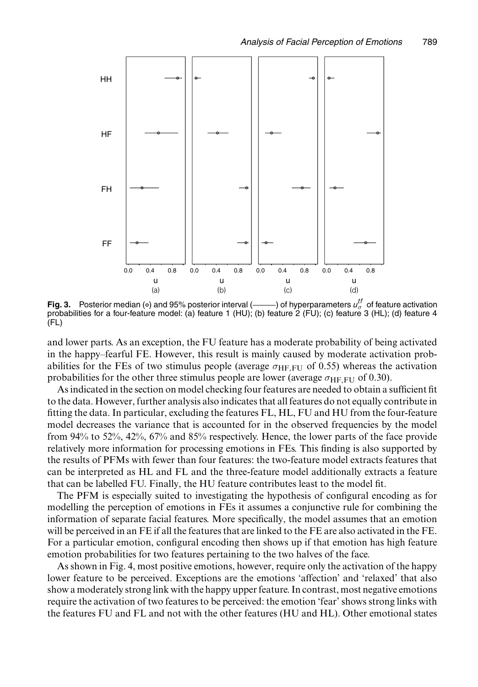

**Fig. 3.** Posterior median ( $\circ$ ) and 95% posterior interval (–  $-$ ) of hyperparameters  $\mu_\sigma^{t\bar{t}}$  of feature activation probabilities for a four-feature model: (a) feature 1 (HU); (b) feature 2 (FU); (c) feature 3 (HL); (d) feature 4 (FL)

and lower parts. As an exception, the FU feature has a moderate probability of being activated in the happy–fearful FE. However, this result is mainly caused by moderate activation probabilities for the FEs of two stimulus people (average  $\sigma_{\text{HF,FU}}$  of 0.55) whereas the activation probabilities for the other three stimulus people are lower (average  $\sigma_{HF,FU}$  of 0.30).

As indicated in the section on model checking four features are needed to obtain a sufficient fit to the data. However, further analysis also indicates that all features do not equally contribute in fitting the data. In particular, excluding the features FL, HL, FU and HU from the four-feature model decreases the variance that is accounted for in the observed frequencies by the model from 94% to 52%, 42%, 67% and 85% respectively. Hence, the lower parts of the face provide relatively more information for processing emotions in FEs. This finding is also supported by the results of PFMs with fewer than four features: the two-feature model extracts features that can be interpreted as HL and FL and the three-feature model additionally extracts a feature that can be labelled FU. Finally, the HU feature contributes least to the model fit.

The PFM is especially suited to investigating the hypothesis of configural encoding as for modelling the perception of emotions in FEs it assumes a conjunctive rule for combining the information of separate facial features. More specifically, the model assumes that an emotion will be perceived in an FE if all the features that are linked to the FE are also activated in the FE. For a particular emotion, configural encoding then shows up if that emotion has high feature emotion probabilities for two features pertaining to the two halves of the face.

As shown in Fig. 4, most positive emotions, however, require only the activation of the happy lower feature to be perceived. Exceptions are the emotions 'affection' and 'relaxed' that also show a moderately strong link with the happy upper feature. In contrast, most negative emotions require the activation of two features to be perceived: the emotion 'fear' shows strong links with the features FU and FL and not with the other features (HU and HL). Other emotional states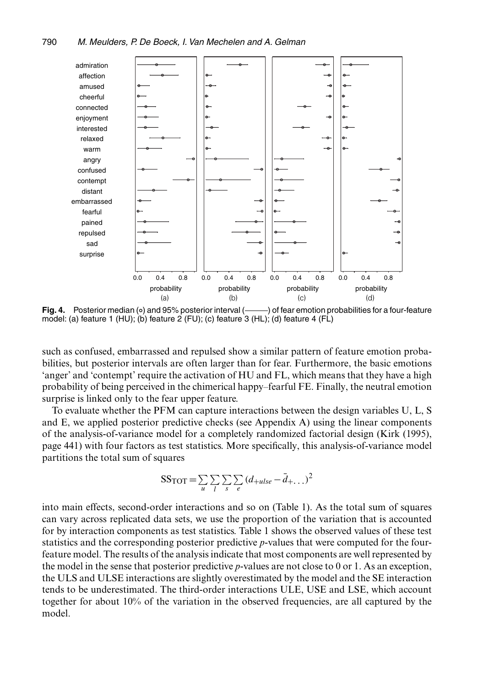

**Fig. 4.** Posterior median ( $\circ$ ) and 95% posterior interval (---) of fear emotion probabilities for a four-feature model: (a) feature 1 (HU); (b) feature 2 (FU); (c) feature 3 (HL); (d) feature 4 (FL)

such as confused, embarrassed and repulsed show a similar pattern of feature emotion probabilities, but posterior intervals are often larger than for fear. Furthermore, the basic emotions 'anger' and 'contempt' require the activation of HU and FL, which means that they have a high probability of being perceived in the chimerical happy–fearful FE. Finally, the neutral emotion surprise is linked only to the fear upper feature.

To evaluate whether the PFM can capture interactions between the design variables U, L, S and E, we applied posterior predictive checks (see Appendix A) using the linear components of the analysis-of-variance model for a completely randomized factorial design (Kirk (1995), page 441) with four factors as test statistics. More specifically, this analysis-of-variance model partitions the total sum of squares

$$
SSTOT = \sum_{u} \sum_{l} \sum_{s} \sum_{e} (d_{+ulse} - \bar{d}_{+...})^2
$$

into main effects, second-order interactions and so on (Table 1). As the total sum of squares can vary across replicated data sets, we use the proportion of the variation that is accounted for by interaction components as test statistics. Table 1 shows the observed values of these test statistics and the corresponding posterior predictive *p*-values that were computed for the fourfeature model. The results of the analysis indicate that most components are well represented by the model in the sense that posterior predictive *p*-values are not close to 0 or 1. As an exception, the ULS and ULSE interactions are slightly overestimated by the model and the SE interaction tends to be underestimated. The third-order interactions ULE, USE and LSE, which account together for about 10% of the variation in the observed frequencies, are all captured by the model.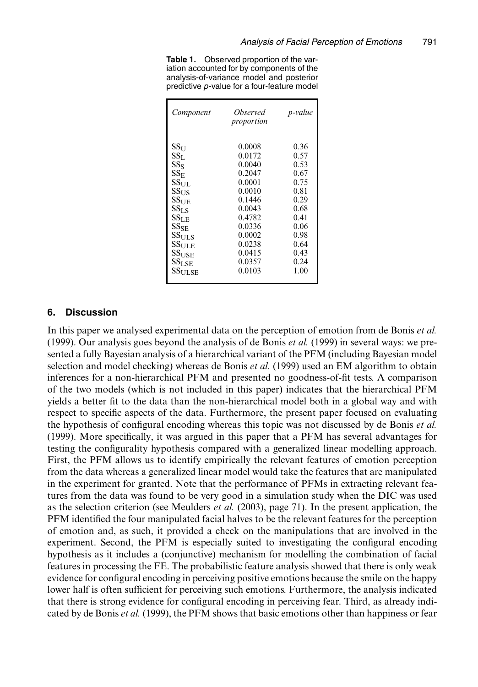**Table 1.** Observed proportion of the variation accounted for by components of the analysis-of-variance model and posterior predictive *p*-value for a four-feature model

| Component         | Observed<br>proportion | <i>p</i> -value |
|-------------------|------------------------|-----------------|
| SS <sub>U</sub>   | 0.0008                 | 0.36            |
| $SS_{L}$          | 0.0172                 | 0.57            |
| $SS_S$            | 0.0040                 | 0.53            |
| $SS_E$            | 0.2047                 | 0.67            |
| SS <sub>UL</sub>  | 0.0001                 | 0.75            |
| SS <sub>US</sub>  | 0.0010                 | 0.81            |
| SS <sub>UE</sub>  | 0.1446                 | 0.29            |
| $SS_{LS}$         | 0.0043                 | 0.68            |
| SS <sub>LE</sub>  | 0.4782                 | 0.41            |
| SSSE              | 0.0336                 | 0.06            |
| SS <sub>ULS</sub> | 0.0002                 | 0.98            |
| <b>SSULE</b>      | 0.0238                 | 0.64            |
| $SS_{USE}$        | 0.0415                 | 0.43            |
| $SS_{LSE}$        | 0.0357                 | 0.24            |
| <b>SSULSE</b>     | 0.0103                 | 1.00            |

# **6. Discussion**

In this paper we analysed experimental data on the perception of emotion from de Bonis *et al.* (1999). Our analysis goes beyond the analysis of de Bonis *et al.* (1999) in several ways: we presented a fully Bayesian analysis of a hierarchical variant of the PFM (including Bayesian model selection and model checking) whereas de Bonis *et al.* (1999) used an EM algorithm to obtain inferences for a non-hierarchical PFM and presented no goodness-of-fit tests. A comparison of the two models (which is not included in this paper) indicates that the hierarchical PFM yields a better fit to the data than the non-hierarchical model both in a global way and with respect to specific aspects of the data. Furthermore, the present paper focused on evaluating the hypothesis of configural encoding whereas this topic was not discussed by de Bonis *et al.* (1999). More specifically, it was argued in this paper that a PFM has several advantages for testing the configurality hypothesis compared with a generalized linear modelling approach. First, the PFM allows us to identify empirically the relevant features of emotion perception from the data whereas a generalized linear model would take the features that are manipulated in the experiment for granted. Note that the performance of PFMs in extracting relevant features from the data was found to be very good in a simulation study when the DIC was used as the selection criterion (see Meulders *et al.* (2003), page 71). In the present application, the PFM identified the four manipulated facial halves to be the relevant features for the perception of emotion and, as such, it provided a check on the manipulations that are involved in the experiment. Second, the PFM is especially suited to investigating the configural encoding hypothesis as it includes a (conjunctive) mechanism for modelling the combination of facial features in processing the FE. The probabilistic feature analysis showed that there is only weak evidence for configural encoding in perceiving positive emotions because the smile on the happy lower half is often sufficient for perceiving such emotions. Furthermore, the analysis indicated that there is strong evidence for configural encoding in perceiving fear. Third, as already indicated by de Bonis *et al.* (1999), the PFM shows that basic emotions other than happiness or fear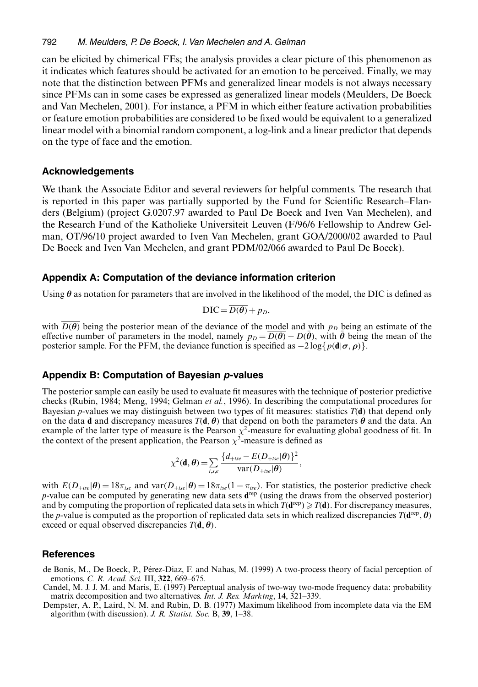can be elicited by chimerical FEs; the analysis provides a clear picture of this phenomenon as it indicates which features should be activated for an emotion to be perceived. Finally, we may note that the distinction between PFMs and generalized linear models is not always necessary since PFMs can in some cases be expressed as generalized linear models (Meulders, De Boeck and Van Mechelen, 2001). For instance, a PFM in which either feature activation probabilities or feature emotion probabilities are considered to be fixed would be equivalent to a generalized linear model with a binomial random component, a log-link and a linear predictor that depends on the type of face and the emotion.

# **Acknowledgements**

We thank the Associate Editor and several reviewers for helpful comments. The research that is reported in this paper was partially supported by the Fund for Scientific Research–Flanders (Belgium) (project G.0207.97 awarded to Paul De Boeck and Iven Van Mechelen), and the Research Fund of the Katholieke Universiteit Leuven (F/96/6 Fellowship to Andrew Gelman, OT/96/10 project awarded to Iven Van Mechelen, grant GOA/2000/02 awarded to Paul De Boeck and Iven Van Mechelen, and grant PDM/02/066 awarded to Paul De Boeck).

## **Appendix A: Computation of the deviance information criterion**

Using  $\theta$  as notation for parameters that are involved in the likelihood of the model, the DIC is defined as

$$
DIC = \overline{D(\theta)} + p_D,
$$

with  $\overline{D(\theta)}$  being the posterior mean of the deviance of the model and with  $p<sub>D</sub>$  being an estimate of the effective number of parameters in the model, namely  $p_D = \overline{D(\theta)} - D(\overline{\theta})$ , with  $\overline{\theta}$  being the mean of the posterior sample. For the PFM, the deviance function is specified as  $-2\log\{p(\mathbf{d}|\boldsymbol{\sigma},\boldsymbol{\rho})\}$ .

## **Appendix B: Computation of Bayesian** *p***-values**

The posterior sample can easily be used to evaluate fit measures with the technique of posterior predictive checks (Rubin, 1984; Meng, 1994; Gelman *et al.*, 1996). In describing the computational procedures for Bayesian *p*-values we may distinguish between two types of fit measures: statistics T.**d**/ that depend only on the data **d** and discrepancy measures  $T(\mathbf{d}, \theta)$  that depend on both the parameters  $\theta$  and the data. An example of the latter type of measure is the Pearson  $\chi^2$ -measure for evaluating global goodness of fit. In the context of the present application, the Pearson  $\chi^2$ -measure is defined as

$$
\chi^2(\mathbf{d}, \boldsymbol{\theta}) = \sum_{t,s,e} \frac{\{d_{+tse} - E(D_{+tse}|\boldsymbol{\theta})\}^2}{\text{var}(D_{+tse}|\boldsymbol{\theta})},
$$

with  $E(D_{+tse}|\theta) = 18\pi_{tse}$  and var $(D_{+tse}|\theta) = 18\pi_{tse}(1 - \pi_{tse})$ . For statistics, the posterior predictive check *p*-value can be computed by generating new data sets **d**rep (using the draws from the observed posterior) and by computing the proportion of replicated data sets in which  $T(\mathbf{d}^{\text{rep}}) \geq T(\mathbf{d})$ . For discrepancy measures, the *p*-value is computed as the proportion of replicated data sets in which realized discrepancies  $T(\mathbf{d}^{\text{rep}}, \theta)$ exceed or equal observed discrepancies  $T(\mathbf{d}, \theta)$ .

## **References**

- de Bonis, M., De Boeck, P., Pérez-Diaz, F. and Nahas, M. (1999) A two-process theory of facial perception of emotions. *C. R. Acad. Sci.* III, **322**, 669–675.
- Candel, M. J. J. M. and Maris, E. (1997) Perceptual analysis of two-way two-mode frequency data: probability matrix decomposition and two alternatives. *Int. J. Res. Marktng*, **14**, 321–339.
- Dempster, A. P., Laird, N. M. and Rubin, D. B. (1977) Maximum likelihood from incomplete data via the EM algorithm (with discussion). *J. R. Statist. Soc.* B, **39**, 1–38.